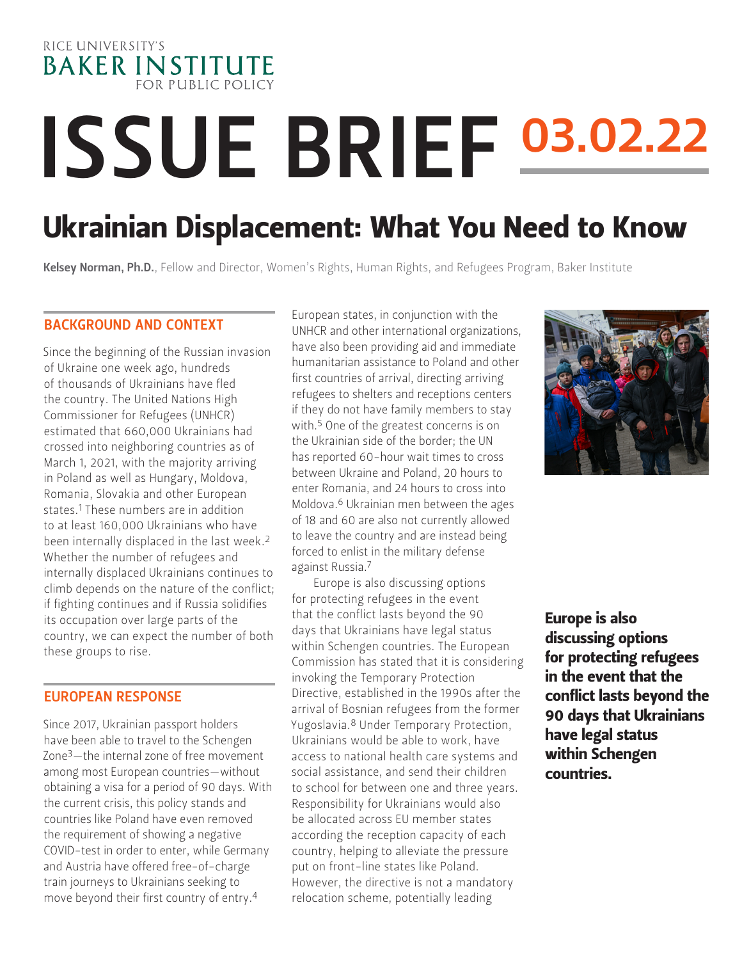

# **ISSUE BRIEF 03.02.22**

# Ukrainian Displacement: What You Need to Know

Kelsey Norman, Ph.D.[, Fellow and Director, Women's Rights, Human Rights, and Refugees Program, Baker Institute](https://www.bakerinstitute.org/experts/kelsey-norman/)

#### BACKGROUND AND CONTEXT

Since the beginning of the Russian invasion of Ukraine one week ago, hundreds of thousands of Ukrainians have fled the country. The United Nations High Commissioner for Refugees (UNHCR) estimated that 660,000 Ukrainians had crossed into neighboring countries as of March 1, 2021, with the majority arriving in Poland as well as Hungary, Moldova, Romania, Slovakia and other European states.<sup>1</sup> These numbers are in addition to at least 160,000 Ukrainians who have been internally displaced in the last week.2 Whether the number of refugees and internally displaced Ukrainians continues to climb depends on the nature of the conflict; if fighting continues and if Russia solidifies its occupation over large parts of the country, we can expect the number of both these groups to rise.

#### EUROPEAN RESPONSE

Since 2017, Ukrainian passport holders have been able to travel to the Schengen Zone3—the internal zone of free movement among most European countries—without obtaining a visa for a period of 90 days. With the current crisis, this policy stands and countries like Poland have even removed the requirement of showing a negative COVID-test in order to enter, while Germany and Austria have offered free-of-charge train journeys to Ukrainians seeking to move beyond their first country of entry.4

European states, in conjunction with the UNHCR and other international organizations, have also been providing aid and immediate humanitarian assistance to Poland and other first countries of arrival, directing arriving refugees to shelters and receptions centers if they do not have family members to stay with.<sup>5</sup> One of the greatest concerns is on the Ukrainian side of the border; the UN has reported 60-hour wait times to cross between Ukraine and Poland, 20 hours to enter Romania, and 24 hours to cross into Moldova.6 Ukrainian men between the ages of 18 and 60 are also not currently allowed to leave the country and are instead being forced to enlist in the military defense against Russia.7

Europe is also discussing options for protecting refugees in the event that the conflict lasts beyond the 90 days that Ukrainians have legal status within Schengen countries. The European Commission has stated that it is considering invoking the Temporary Protection Directive, established in the 1990s after the arrival of Bosnian refugees from the former Yugoslavia.8 Under Temporary Protection, Ukrainians would be able to work, have access to national health care systems and social assistance, and send their children to school for between one and three years. Responsibility for Ukrainians would also be allocated across EU member states according the reception capacity of each country, helping to alleviate the pressure put on front-line states like Poland. However, the directive is not a mandatory relocation scheme, potentially leading



Europe is also discussing options for protecting refugees in the event that the conflict lasts beyond the 90 days that Ukrainians have legal status within Schengen countries.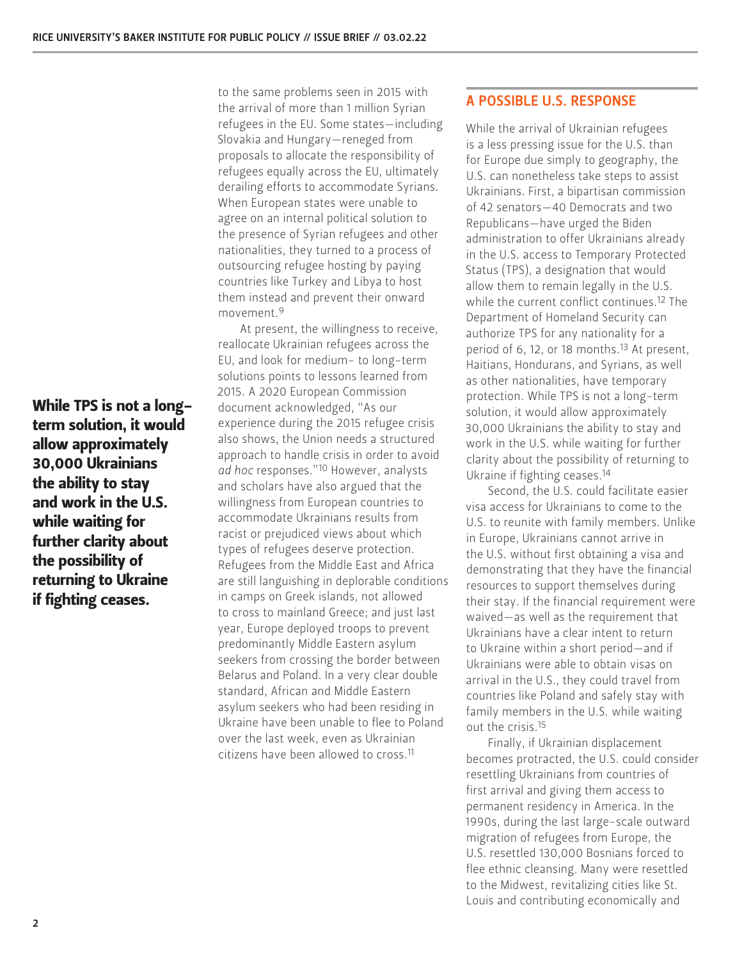While TPS is not a longterm solution, it would allow approximately 30,000 Ukrainians the ability to stay and work in the U.S. while waiting for further clarity about the possibility of returning to Ukraine if fighting ceases.

to the same problems seen in 2015 with the arrival of more than 1 million Syrian refugees in the EU. Some states—including Slovakia and Hungary—reneged from proposals to allocate the responsibility of refugees equally across the EU, ultimately derailing efforts to accommodate Syrians. When European states were unable to agree on an internal political solution to the presence of Syrian refugees and other nationalities, they turned to a process of outsourcing refugee hosting by paying countries like Turkey and Libya to host them instead and prevent their onward movement.9

At present, the willingness to receive, reallocate Ukrainian refugees across the EU, and look for medium- to long-term solutions points to lessons learned from 2015. A 2020 European Commission document acknowledged, "As our experience during the 2015 refugee crisis also shows, the Union needs a structured approach to handle crisis in order to avoid *ad hoc* responses."10 However, analysts and scholars have also argued that the willingness from European countries to accommodate Ukrainians results from racist or prejudiced views about which types of refugees deserve protection. Refugees from the Middle East and Africa are still languishing in deplorable conditions in camps on Greek islands, not allowed to cross to mainland Greece; and just last year, Europe deployed troops to prevent predominantly Middle Eastern asylum seekers from crossing the border between Belarus and Poland. In a very clear double standard, African and Middle Eastern asylum seekers who had been residing in Ukraine have been unable to flee to Poland over the last week, even as Ukrainian citizens have been allowed to cross.11

## A POSSIBLE U.S. RESPONSE

While the arrival of Ukrainian refugees is a less pressing issue for the U.S. than for Europe due simply to geography, the U.S. can nonetheless take steps to assist Ukrainians. First, a bipartisan commission of 42 senators—40 Democrats and two Republicans—have urged the Biden administration to offer Ukrainians already in the U.S. access to Temporary Protected Status (TPS), a designation that would allow them to remain legally in the U.S. while the current conflict continues.<sup>12</sup> The Department of Homeland Security can authorize TPS for any nationality for a period of 6, 12, or 18 months.<sup>13</sup> At present, Haitians, Hondurans, and Syrians, as well as other nationalities, have temporary protection. While TPS is not a long-term solution, it would allow approximately 30,000 Ukrainians the ability to stay and work in the U.S. while waiting for further clarity about the possibility of returning to Ukraine if fighting ceases.14

Second, the U.S. could facilitate easier visa access for Ukrainians to come to the U.S. to reunite with family members. Unlike in Europe, Ukrainians cannot arrive in the U.S. without first obtaining a visa and demonstrating that they have the financial resources to support themselves during their stay. If the financial requirement were waived—as well as the requirement that Ukrainians have a clear intent to return to Ukraine within a short period—and if Ukrainians were able to obtain visas on arrival in the U.S., they could travel from countries like Poland and safely stay with family members in the U.S. while waiting out the crisis.15

Finally, if Ukrainian displacement becomes protracted, the U.S. could consider resettling Ukrainians from countries of first arrival and giving them access to permanent residency in America. In the 1990s, during the last large-scale outward migration of refugees from Europe, the U.S. resettled 130,000 Bosnians forced to flee ethnic cleansing. Many were resettled to the Midwest, revitalizing cities like St. Louis and contributing economically and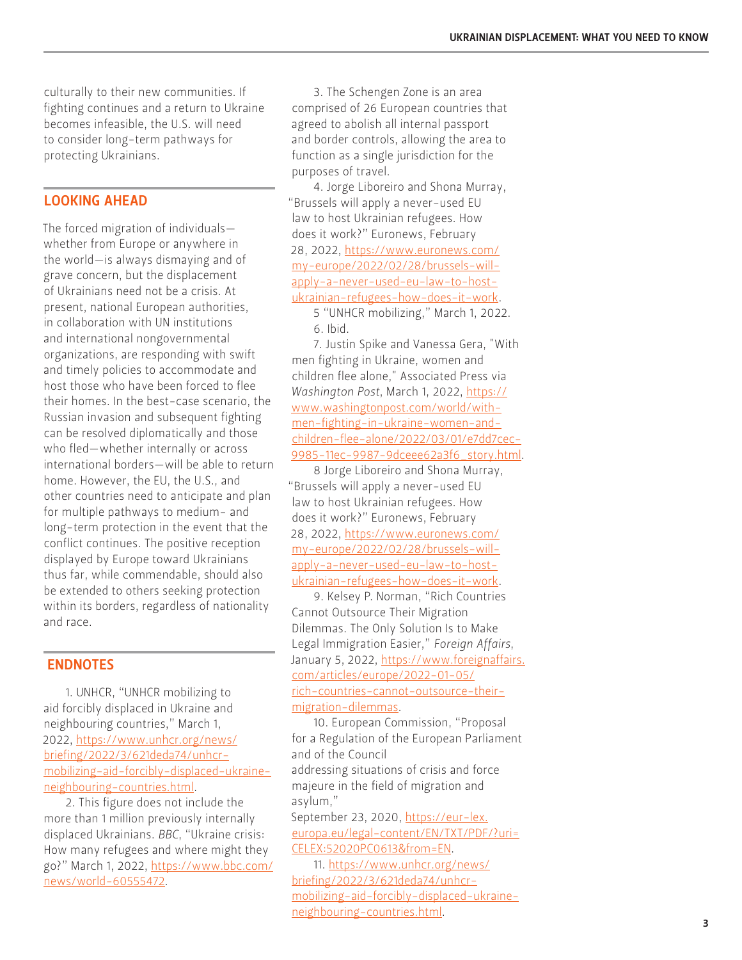culturally to their new communities. If fighting continues and a return to Ukraine becomes infeasible, the U.S. will need to consider long-term pathways for protecting Ukrainians.

### LOOKING AHEAD

The forced migration of individuals whether from Europe or anywhere in the world—is always dismaying and of grave concern, but the displacement of Ukrainians need not be a crisis. At present, national European authorities, in collaboration with UN institutions and international nongovernmental organizations, are responding with swift and timely policies to accommodate and host those who have been forced to flee their homes. In the best-case scenario, the Russian invasion and subsequent fighting can be resolved diplomatically and those who fled—whether internally or across international borders—will be able to return home. However, the EU, the U.S., and other countries need to anticipate and plan for multiple pathways to medium- and long-term protection in the event that the conflict continues. The positive reception displayed by Europe toward Ukrainians thus far, while commendable, should also be extended to others seeking protection within its borders, regardless of nationality and race.

#### ENDNOTES

1. UNHCR, "UNHCR mobilizing to aid forcibly displaced in Ukraine and neighbouring countries," March 1, 2022, [https://www.unhcr.org/news/](https://www.unhcr.org/news/briefing/2022/3/621deda74/unhcr-mobilizing-aid-forcibly-displaced-ukraine-neighbouring-countries.html) [briefing/2022/3/621deda74/unhcr](https://www.unhcr.org/news/briefing/2022/3/621deda74/unhcr-mobilizing-aid-forcibly-displaced-ukraine-neighbouring-countries.html)[mobilizing-aid-forcibly-displaced-ukraine](https://www.unhcr.org/news/briefing/2022/3/621deda74/unhcr-mobilizing-aid-forcibly-displaced-ukraine-neighbouring-countries.html)[neighbouring-countries.html](https://www.unhcr.org/news/briefing/2022/3/621deda74/unhcr-mobilizing-aid-forcibly-displaced-ukraine-neighbouring-countries.html).

2. This figure does not include the more than 1 million previously internally displaced Ukrainians. *BBC*, "Ukraine crisis: How many refugees and where might they go?" March 1, 2022, [https://www.bbc.com/](https://www.bbc.com/news/world-60555472) [news/world-60555472](https://www.bbc.com/news/world-60555472).

3. The Schengen Zone is an area comprised of 26 European countries that agreed to abolish all internal passport and border controls, allowing the area to function as a single jurisdiction for the purposes of travel.

4. Jorge Liboreiro and Shona Murray, "Brussels will apply a never-used EU law to host Ukrainian refugees. How does it work?" Euronews, February 28, 2022, [https://www.euronews.com/](https://www.euronews.com/my-europe/2022/02/28/brussels-will-apply-a-never-used-eu-law-to-host-ukrainian-refugees-how-does-it-work) [my-europe/2022/02/28/brussels-will](https://www.euronews.com/my-europe/2022/02/28/brussels-will-apply-a-never-used-eu-law-to-host-ukrainian-refugees-how-does-it-work)[apply-a-never-used-eu-law-to-host](https://www.euronews.com/my-europe/2022/02/28/brussels-will-apply-a-never-used-eu-law-to-host-ukrainian-refugees-how-does-it-work)[ukrainian-refugees-how-does-it-work](https://www.euronews.com/my-europe/2022/02/28/brussels-will-apply-a-never-used-eu-law-to-host-ukrainian-refugees-how-does-it-work).

5 "UNHCR mobilizing," March 1, 2022. 6. Ibid.

7. Justin Spike and Vanessa Gera, "With men fighting in Ukraine, women and children flee alone," Associated Press via *Washington Post*, March 1, 2022, [https://](https://www.washingtonpost.com/world/with-men-fighting-in-ukraine-women-and-children-flee-alone/2022/03/01/e7dd7cec-9985-11ec-9987-9dceee62a3f6_story.html) [www.washingtonpost.com/world/with](https://www.washingtonpost.com/world/with-men-fighting-in-ukraine-women-and-children-flee-alone/2022/03/01/e7dd7cec-9985-11ec-9987-9dceee62a3f6_story.html)[men-fighting-in-ukraine-women-and](https://www.washingtonpost.com/world/with-men-fighting-in-ukraine-women-and-children-flee-alone/2022/03/01/e7dd7cec-9985-11ec-9987-9dceee62a3f6_story.html)[children-flee-alone/2022/03/01/e7dd7cec-](https://www.washingtonpost.com/world/with-men-fighting-in-ukraine-women-and-children-flee-alone/2022/03/01/e7dd7cec-9985-11ec-9987-9dceee62a3f6_story.html)[9985-11ec-9987-9dceee62a3f6\\_story.html](https://www.washingtonpost.com/world/with-men-fighting-in-ukraine-women-and-children-flee-alone/2022/03/01/e7dd7cec-9985-11ec-9987-9dceee62a3f6_story.html).

8 Jorge Liboreiro and Shona Murray, "Brussels will apply a never-used EU law to host Ukrainian refugees. How does it work?" Euronews, February 28, 2022, [https://www.euronews.com/](https://www.euronews.com/my-europe/2022/02/28/brussels-will-apply-a-never-used-eu-law-to-host-ukrainian-refugees-how-does-it-work) [my-europe/2022/02/28/brussels-will](https://www.euronews.com/my-europe/2022/02/28/brussels-will-apply-a-never-used-eu-law-to-host-ukrainian-refugees-how-does-it-work)[apply-a-never-used-eu-law-to-host](https://www.euronews.com/my-europe/2022/02/28/brussels-will-apply-a-never-used-eu-law-to-host-ukrainian-refugees-how-does-it-work)[ukrainian-refugees-how-does-it-work](https://www.euronews.com/my-europe/2022/02/28/brussels-will-apply-a-never-used-eu-law-to-host-ukrainian-refugees-how-does-it-work).

9. Kelsey P. Norman, "Rich Countries Cannot Outsource Their Migration Dilemmas. The Only Solution Is to Make Legal Immigration Easier," *Foreign Affairs*, January 5, 2022, [https://www.foreignaffairs.](https://www.foreignaffairs.com/articles/europe/2022-01-05/rich-countries-cannot-outsource-their-migration-dilemmas) [com/articles/europe/2022-01-05/](https://www.foreignaffairs.com/articles/europe/2022-01-05/rich-countries-cannot-outsource-their-migration-dilemmas) [rich-countries-cannot-outsource-their](https://www.foreignaffairs.com/articles/europe/2022-01-05/rich-countries-cannot-outsource-their-migration-dilemmas)[migration-dilemmas.](https://www.foreignaffairs.com/articles/europe/2022-01-05/rich-countries-cannot-outsource-their-migration-dilemmas)

10. European Commission, "Proposal for a Regulation of the European Parliament and of the Council addressing situations of crisis and force majeure in the field of migration and asylum,"

September 23, 2020, [https://eur-lex.](https://eur-lex.europa.eu/legal-content/EN/TXT/PDF/?uri=CELEX:52020PC0613&from=EN) [europa.eu/legal-content/EN/TXT/PDF/?uri=](https://eur-lex.europa.eu/legal-content/EN/TXT/PDF/?uri=CELEX:52020PC0613&from=EN) [CELEX:52020PC0613&from=EN](https://eur-lex.europa.eu/legal-content/EN/TXT/PDF/?uri=CELEX:52020PC0613&from=EN).

11. [https://www.unhcr.org/news/](https://www.unhcr.org/news/briefing/2022/3/621deda74/unhcr-mobilizing-aid-forcibly-displaced-ukraine-neighbouring-countries.html) [briefing/2022/3/621deda74/unhcr](https://www.unhcr.org/news/briefing/2022/3/621deda74/unhcr-mobilizing-aid-forcibly-displaced-ukraine-neighbouring-countries.html)[mobilizing-aid-forcibly-displaced-ukraine](https://www.unhcr.org/news/briefing/2022/3/621deda74/unhcr-mobilizing-aid-forcibly-displaced-ukraine-neighbouring-countries.html)[neighbouring-countries.html.](https://www.unhcr.org/news/briefing/2022/3/621deda74/unhcr-mobilizing-aid-forcibly-displaced-ukraine-neighbouring-countries.html)